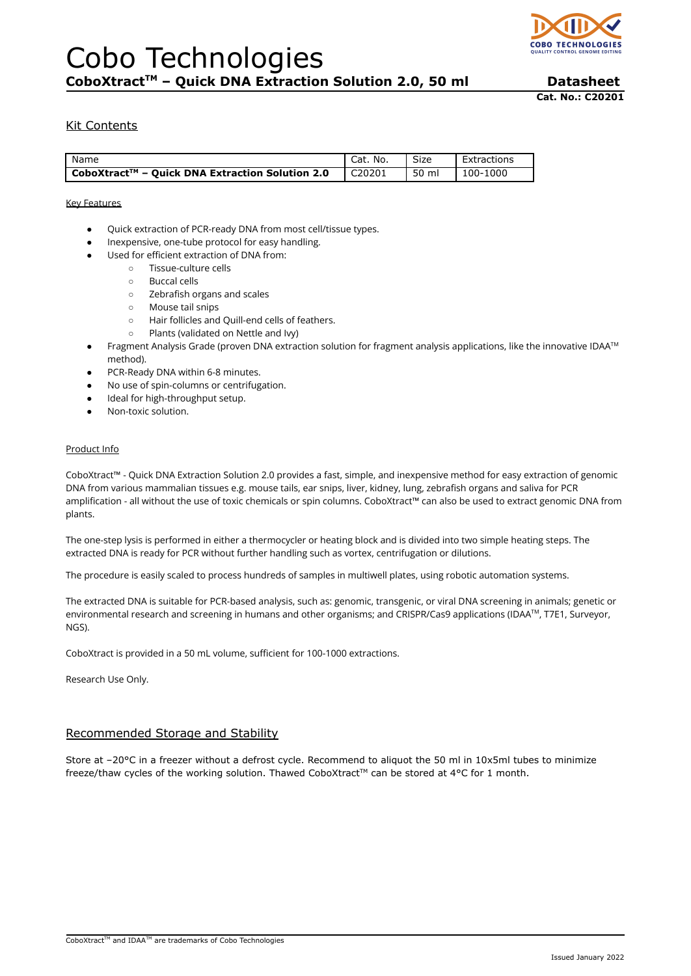

**Cat. No.: C20201**

# Kit Contents

| Name                                            | No.<br>Cat. | Size  | Extractions |
|-------------------------------------------------|-------------|-------|-------------|
| CoboXtract™ – Ouick DNA Extraction Solution 2.0 | C20201      | 50 ml | 100-1000    |

#### Key Features

- Quick extraction of PCR-ready DNA from most cell/tissue types.
- Inexpensive, one-tube protocol for easy handling.
- Used for efficient extraction of DNA from:
	- Tissue-culture cells
	- Buccal cells
	- Zebrafish organs and scales
	- Mouse tail snips
	- Hair follicles and Quill-end cells of feathers.
	- Plants (validated on Nettle and Ivy)
- Fragment Analysis Grade (proven DNA extraction solution for fragment analysis applications, like the innovative IDAA™ method).
- PCR-Ready DNA within 6-8 minutes.
- No use of spin-columns or centrifugation.
- Ideal for high-throughput setup.
- Non-toxic solution.

#### Product Info

CoboXtract™ - Quick DNA Extraction Solution 2.0 provides a fast, simple, and inexpensive method for easy extraction of genomic DNA from various mammalian tissues e.g. mouse tails, ear snips, liver, kidney, lung, zebrafish organs and saliva for PCR amplification - all without the use of toxic chemicals or spin columns. CoboXtract™ can also be used to extract genomic DNA from plants.

The one-step lysis is performed in either a thermocycler or heating block and is divided into two simple heating steps. The extracted DNA is ready for PCR without further handling such as vortex, centrifugation or dilutions.

The procedure is easily scaled to process hundreds of samples in multiwell plates, using robotic automation systems.

The extracted DNA is suitable for PCR-based analysis, such as: genomic, transgenic, or viral DNA screening in animals; genetic or environmental research and screening in humans and other organisms; and CRISPR/Cas9 applications (IDAA TM, T7E1, Surveyor, NGS).

CoboXtract is provided in a 50 mL volume, sufficient for 100-1000 extractions.

Research Use Only.

## Recommended Storage and Stability

Store at -20°C in a freezer without a defrost cycle. Recommend to aliquot the 50 ml in 10x5ml tubes to minimize freeze/thaw cycles of the working solution. Thawed CoboXtract™ can be stored at 4°C for 1 month.